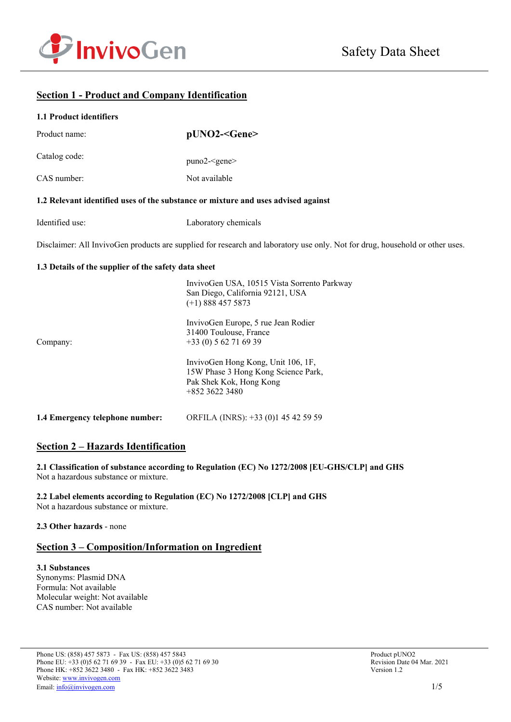



# **Section 1 - Product and Company Identification**

#### **1.1 Product identifiers**

| Product name: | $pUNO2 - \text{Gene}$   |
|---------------|-------------------------|
| Catalog code: | $puno2 - \epsilon$ gene |
| CAS number:   | Not available           |

#### **1.2 Relevant identified uses of the substance or mixture and uses advised against**

| Identified use: | Laboratory chemicals |
|-----------------|----------------------|
|-----------------|----------------------|

Disclaimer: All InvivoGen products are supplied for research and laboratory use only. Not for drug, household or other uses.

#### **1.3 Details of the supplier of the safety data sheet**

|                                 | InvivoGen USA, 10515 Vista Sorrento Parkway<br>San Diego, California 92121, USA<br>$(+1)$ 888 457 5873                 |
|---------------------------------|------------------------------------------------------------------------------------------------------------------------|
| Company:                        | InvivoGen Europe, 5 rue Jean Rodier<br>31400 Toulouse, France<br>$+33(0) 562716939$                                    |
|                                 | InvivoGen Hong Kong, Unit 106, 1F,<br>15W Phase 3 Hong Kong Science Park,<br>Pak Shek Kok, Hong Kong<br>$+85236223480$ |
| 1.4 Emergency telephone number: | ORFILA (INRS): +33 (0)1 45 42 59 59                                                                                    |

# **Section 2 – Hazards Identification**

**2.1 Classification of substance according to Regulation (EC) No 1272/2008 [EU-GHS/CLP] and GHS** Not a hazardous substance or mixture.

**2.2 Label elements according to Regulation (EC) No 1272/2008 [CLP] and GHS** Not a hazardous substance or mixture.

## **2.3 Other hazards** - none

## **Section 3 – Composition/Information on Ingredient**

#### **3.1 Substances** Synonyms: Plasmid DNA Formula: Not available Molecular weight: Not available CAS number: Not available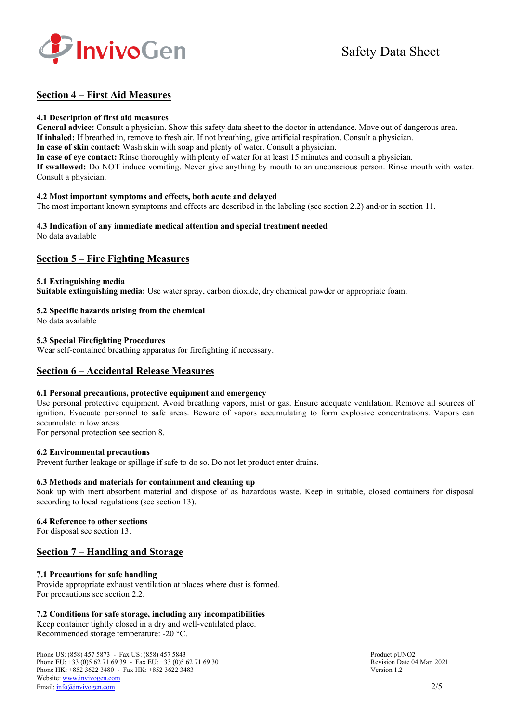

# **Section 4 – First Aid Measures**

## **4.1 Description of first aid measures**

**General advice:** Consult a physician. Show this safety data sheet to the doctor in attendance. Move out of dangerous area. **If inhaled:** If breathed in, remove to fresh air. If not breathing, give artificial respiration. Consult a physician. **In case of skin contact:** Wash skin with soap and plenty of water. Consult a physician. **In case of eye contact:** Rinse thoroughly with plenty of water for at least 15 minutes and consult a physician.

**If swallowed:** Do NOT induce vomiting. Never give anything by mouth to an unconscious person. Rinse mouth with water. Consult a physician.

### **4.2 Most important symptoms and effects, both acute and delayed**

The most important known symptoms and effects are described in the labeling (see section 2.2) and/or in section 11.

#### **4.3 Indication of any immediate medical attention and special treatment needed** No data available

# **Section 5 – Fire Fighting Measures**

## **5.1 Extinguishing media**

**Suitable extinguishing media:** Use water spray, carbon dioxide, dry chemical powder or appropriate foam.

## **5.2 Specific hazards arising from the chemical**

No data available

## **5.3 Special Firefighting Procedures**

Wear self-contained breathing apparatus for firefighting if necessary.

## **Section 6 – Accidental Release Measures**

### **6.1 Personal precautions, protective equipment and emergency**

Use personal protective equipment. Avoid breathing vapors, mist or gas. Ensure adequate ventilation. Remove all sources of ignition. Evacuate personnel to safe areas. Beware of vapors accumulating to form explosive concentrations. Vapors can accumulate in low areas.

For personal protection see section 8.

### **6.2 Environmental precautions**

Prevent further leakage or spillage if safe to do so. Do not let product enter drains.

### **6.3 Methods and materials for containment and cleaning up**

Soak up with inert absorbent material and dispose of as hazardous waste. Keep in suitable, closed containers for disposal according to local regulations (see section 13).

### **6.4 Reference to other sections**

For disposal see section 13.

# **Section 7 – Handling and Storage**

## **7.1 Precautions for safe handling**

Provide appropriate exhaust ventilation at places where dust is formed. For precautions see section 2.2.

## **7.2 Conditions for safe storage, including any incompatibilities**

Keep container tightly closed in a dry and well-ventilated place. Recommended storage temperature: -20 °C.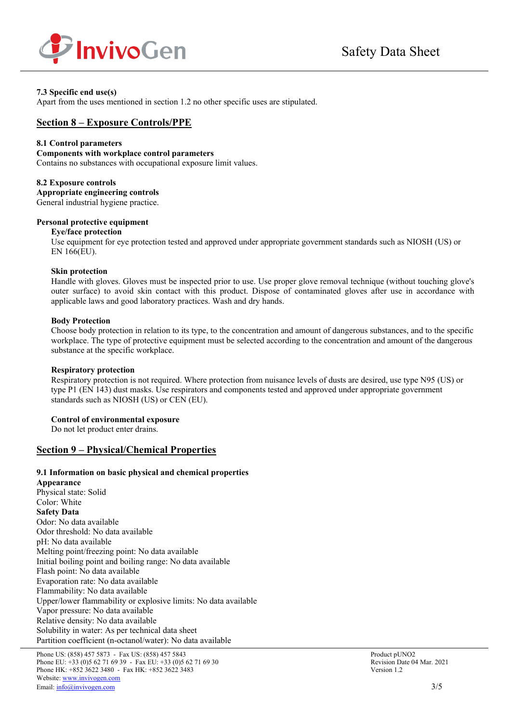

### **7.3 Specific end use(s)**

Apart from the uses mentioned in section 1.2 no other specific uses are stipulated.

# **Section 8 – Exposure Controls/PPE**

#### **8.1 Control parameters**

#### **Components with workplace control parameters**

Contains no substances with occupational exposure limit values.

#### **8.2 Exposure controls**

**Appropriate engineering controls** General industrial hygiene practice.

#### **Personal protective equipment Eye/face protection**

Use equipment for eye protection tested and approved under appropriate government standards such as NIOSH (US) or EN 166(EU).

#### **Skin protection**

Handle with gloves. Gloves must be inspected prior to use. Use proper glove removal technique (without touching glove's outer surface) to avoid skin contact with this product. Dispose of contaminated gloves after use in accordance with applicable laws and good laboratory practices. Wash and dry hands.

### **Body Protection**

Choose body protection in relation to its type, to the concentration and amount of dangerous substances, and to the specific workplace. The type of protective equipment must be selected according to the concentration and amount of the dangerous substance at the specific workplace.

### **Respiratory protection**

Respiratory protection is not required. Where protection from nuisance levels of dusts are desired, use type N95 (US) or type P1 (EN 143) dust masks. Use respirators and components tested and approved under appropriate government standards such as NIOSH (US) or CEN (EU).

### **Control of environmental exposure**

Do not let product enter drains.

## **Section 9 – Physical/Chemical Properties**

### **9.1 Information on basic physical and chemical properties**

**Appearance** Physical state: Solid Color: White **Safety Data** Odor: No data available Odor threshold: No data available pH: No data available Melting point/freezing point: No data available Initial boiling point and boiling range: No data available Flash point: No data available Evaporation rate: No data available Flammability: No data available Upper/lower flammability or explosive limits: No data available Vapor pressure: No data available Relative density: No data available Solubility in water: As per technical data sheet Partition coefficient (n-octanol/water): No data available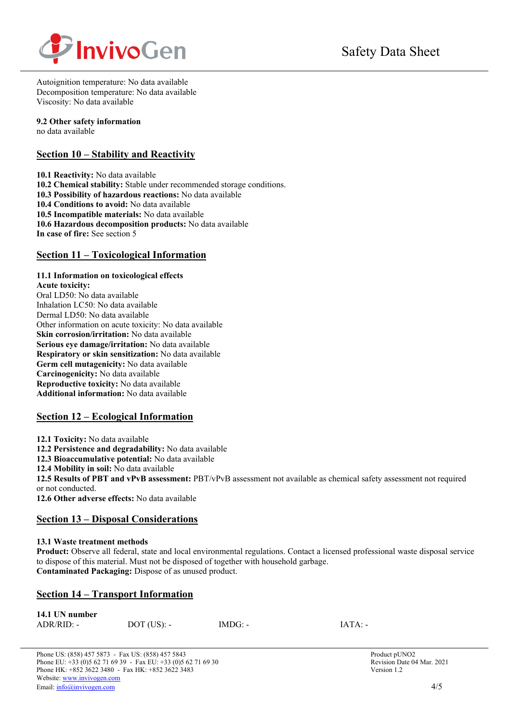

Autoignition temperature: No data available Decomposition temperature: No data available Viscosity: No data available

# **9.2 Other safety information**

no data available

# **Section 10 – Stability and Reactivity**

**10.1 Reactivity:** No data available **10.2 Chemical stability:** Stable under recommended storage conditions. **10.3 Possibility of hazardous reactions:** No data available **10.4 Conditions to avoid:** No data available **10.5 Incompatible materials:** No data available **10.6 Hazardous decomposition products:** No data available **In case of fire:** See section 5

# **Section 11 – Toxicological Information**

## **11.1 Information on toxicological effects**

**Acute toxicity:** Oral LD50: No data available Inhalation LC50: No data available Dermal LD50: No data available Other information on acute toxicity: No data available **Skin corrosion/irritation:** No data available **Serious eye damage/irritation:** No data available **Respiratory or skin sensitization:** No data available **Germ cell mutagenicity:** No data available **Carcinogenicity:** No data available **Reproductive toxicity:** No data available **Additional information:** No data available

# **Section 12 – Ecological Information**

**12.1 Toxicity:** No data available

**12.2 Persistence and degradability:** No data available

**12.3 Bioaccumulative potential:** No data available

**12.4 Mobility in soil:** No data available

**12.5 Results of PBT and vPvB assessment:** PBT/vPvB assessment not available as chemical safety assessment not required or not conducted.

**12.6 Other adverse effects:** No data available

# **Section 13 – Disposal Considerations**

## **13.1 Waste treatment methods**

**Product:** Observe all federal, state and local environmental regulations. Contact a licensed professional waste disposal service to dispose of this material. Must not be disposed of together with household garbage. **Contaminated Packaging:** Dispose of as unused product.

# **Section 14 – Transport Information**

| 14.1 UN number |               |           |           |
|----------------|---------------|-----------|-----------|
| $ADR/RID: -$   | $DOT$ (US): - | $IMDG: -$ | $IATA: -$ |